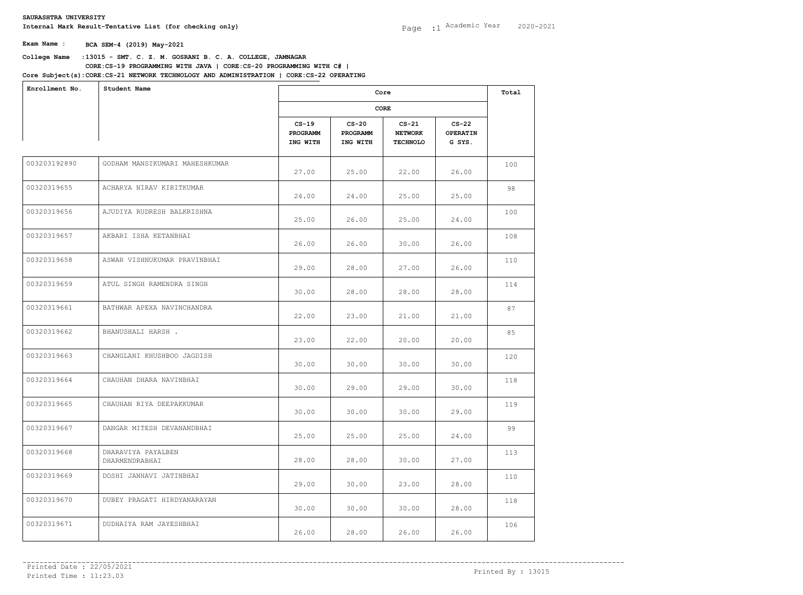**College Name** :**13015 - SMT. C. Z. M. GOSRANI B. C. A. COLLEGE, JAMNAGAR Core Subject(s)**: **CORE:CS-21 NETWORK TECHNOLOGY AND ADMINISTRATION | CORE:CS-22 OPERATING CORE:CS-19 PROGRAMMING WITH JAVA | CORE:CS-20 PROGRAMMING WITH C# |** 

| Enrollment No. | Student Name                         | Core                            |                                 |                                              |                                      | Total |
|----------------|--------------------------------------|---------------------------------|---------------------------------|----------------------------------------------|--------------------------------------|-------|
|                |                                      |                                 |                                 |                                              |                                      |       |
|                |                                      | $CS-19$<br>PROGRAMM<br>ING WITH | $CS-20$<br>PROGRAMM<br>ING WITH | $CS-21$<br><b>NETWORK</b><br><b>TECHNOLO</b> | $CS-22$<br><b>OPERATIN</b><br>G SYS. |       |
| 003203192890   | GODHAM MANSIKUMARI MAHESHKUMAR       | 27.00                           | 25.00                           | 22.00                                        | 26.00                                | 100   |
| 00320319655    | ACHARYA NIRAV KIRITKUMAR             | 24.00                           | 24.00                           | 25.00                                        | 25.00                                | 98    |
| 00320319656    | AJUDIYA RUDRESH BALKRISHNA           | 25.00                           | 26.00                           | 25.00                                        | 24.00                                | 100   |
| 00320319657    | AKBARI ISHA KETANBHAI                | 26.00                           | 26.00                           | 30.00                                        | 26.00                                | 108   |
| 00320319658    | ASWAR VISHNUKUMAR PRAVINBHAI         | 29.00                           | 28.00                           | 27.00                                        | 26.00                                | 110   |
| 00320319659    | ATUL SINGH RAMENDRA SINGH            | 30.00                           | 28.00                           | 28.00                                        | 28.00                                | 114   |
| 00320319661    | BATHWAR APEXA NAVINCHANDRA           | 22.00                           | 23.00                           | 21.00                                        | 21.00                                | 87    |
| 00320319662    | BHANUSHALI HARSH.                    | 23.00                           | 22.00                           | 20.00                                        | 20.00                                | 85    |
| 00320319663    | CHANGLANI KHUSHBOO JAGDISH           | 30.00                           | 30.00                           | 30.00                                        | 30.00                                | 120   |
| 00320319664    | CHAUHAN DHARA NAVINBHAI              | 30.00                           | 29.00                           | 29.00                                        | 30.00                                | 118   |
| 00320319665    | CHAUHAN RIYA DEEPAKKUMAR             | 30.00                           | 30.00                           | 30.00                                        | 29.00                                | 119   |
| 00320319667    | DANGAR MITESH DEVANANDBHAI           | 25.00                           | 25.00                           | 25.00                                        | 24.00                                | 99    |
| 00320319668    | DHARAVIYA PAYALBEN<br>DHARMENDRABHAI | 28.00                           | 28.00                           | 30.00                                        | 27.00                                | 113   |
| 00320319669    | DOSHI JANHAVI JATINBHAI              | 29.00                           | 30.00                           | 23.00                                        | 28.00                                | 110   |
| 00320319670    | DUBEY PRAGATI HIRDYANARAYAN          | 30.00                           | 30.00                           | 30.00                                        | 28.00                                | 118   |
| 00320319671    | DUDHAIYA RAM JAYESHBHAI              | 26.00                           | 28.00                           | 26.00                                        | 26.00                                | 106   |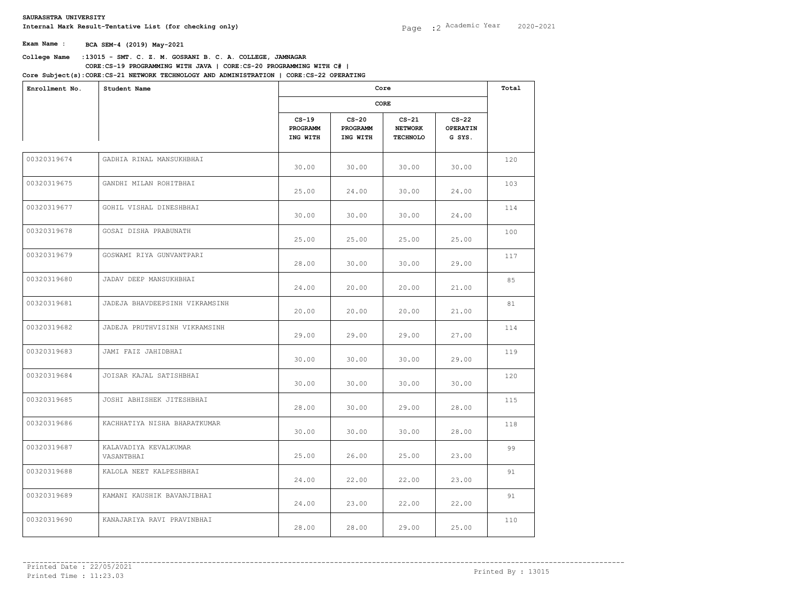## **College Name** :**13015 - SMT. C. Z. M. GOSRANI B. C. A. COLLEGE, JAMNAGAR CORE:CS-19 PROGRAMMING WITH JAVA | CORE:CS-20 PROGRAMMING WITH C# |**

**Core Subject(s)**: **CORE:CS-21 NETWORK TECHNOLOGY AND ADMINISTRATION | CORE:CS-22 OPERATING** 

| Enrollment No. | Student Name                        |                                 | Core<br>CORE                    |                                              |                                      |     |
|----------------|-------------------------------------|---------------------------------|---------------------------------|----------------------------------------------|--------------------------------------|-----|
|                |                                     |                                 |                                 |                                              |                                      |     |
|                |                                     | $CS-19$<br>PROGRAMM<br>ING WITH | $CS-20$<br>PROGRAMM<br>ING WITH | $CS-21$<br><b>NETWORK</b><br><b>TECHNOLO</b> | $CS-22$<br><b>OPERATIN</b><br>G SYS. |     |
| 00320319674    | GADHIA RINAL MANSUKHBHAI            | 30.00                           | 30.00                           | 30.00                                        | 30.00                                | 120 |
| 00320319675    | GANDHI MILAN ROHITBHAI              | 25.00                           | 24.00                           | 30.00                                        | 24.00                                | 103 |
| 00320319677    | GOHIL VISHAL DINESHBHAI             | 30.00                           | 30.00                           | 30.00                                        | 24.00                                | 114 |
| 00320319678    | GOSAI DISHA PRABUNATH               | 25.00                           | 25.00                           | 25.00                                        | 25.00                                | 100 |
| 00320319679    | GOSWAMI RIYA GUNVANTPARI            | 28.00                           | 30.00                           | 30.00                                        | 29.00                                | 117 |
| 00320319680    | JADAV DEEP MANSUKHBHAI              | 24.00                           | 20.00                           | 20.00                                        | 21.00                                | 85  |
| 00320319681    | JADEJA BHAVDEEPSINH VIKRAMSINH      | 20.00                           | 20.00                           | 20.00                                        | 21.00                                | 81  |
| 00320319682    | JADEJA PRUTHVISINH VIKRAMSINH       | 29.00                           | 29.00                           | 29.00                                        | 27.00                                | 114 |
| 00320319683    | JAMI FAIZ JAHIDBHAI                 | 30.00                           | 30.00                           | 30.00                                        | 29.00                                | 119 |
| 00320319684    | JOISAR KAJAL SATISHBHAI             | 30.00                           | 30.00                           | 30.00                                        | 30.00                                | 120 |
| 00320319685    | JOSHI ABHISHEK JITESHBHAI           | 28.00                           | 30.00                           | 29.00                                        | 28.00                                | 115 |
| 00320319686    | KACHHATIYA NISHA BHARATKUMAR        | 30.00                           | 30.00                           | 30.00                                        | 28.00                                | 118 |
| 00320319687    | KALAVADIYA KEVALKUMAR<br>VASANTBHAI | 25.00                           | 26.00                           | 25.00                                        | 23.00                                | 99  |
| 00320319688    | KALOLA NEET KALPESHBHAI             | 24.00                           | 22.00                           | 22.00                                        | 23.00                                | 91  |
| 00320319689    | KAMANI KAUSHIK BAVANJIBHAI          | 24.00                           | 23.00                           | 22.00                                        | 22.00                                | 91  |
| 00320319690    | KANAJARIYA RAVI PRAVINBHAI          | 28.00                           | 28.00                           | 29.00                                        | 25.00                                | 110 |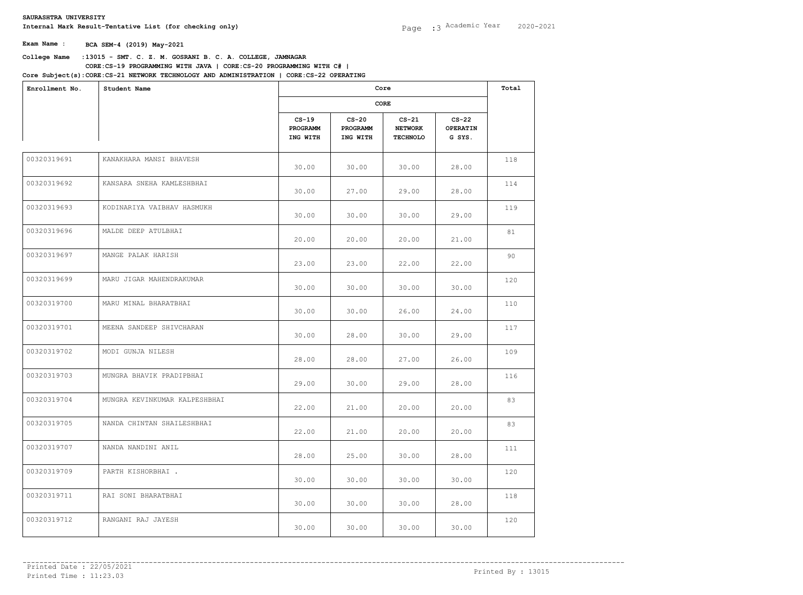## **College Name** :**13015 - SMT. C. Z. M. GOSRANI B. C. A. COLLEGE, JAMNAGAR CORE:CS-19 PROGRAMMING WITH JAVA | CORE:CS-20 PROGRAMMING WITH C# |**

**Core Subject(s)**: **CORE:CS-21 NETWORK TECHNOLOGY AND ADMINISTRATION | CORE:CS-22 OPERATING** 

| Enrollment No. | Student Name                  |                                 | Core<br>CORE                    |                                              |                                      |     |
|----------------|-------------------------------|---------------------------------|---------------------------------|----------------------------------------------|--------------------------------------|-----|
|                |                               |                                 |                                 |                                              |                                      |     |
|                |                               | $CS-19$<br>PROGRAMM<br>ING WITH | $CS-20$<br>PROGRAMM<br>ING WITH | $CS-21$<br><b>NETWORK</b><br><b>TECHNOLO</b> | $CS-22$<br><b>OPERATIN</b><br>G SYS. |     |
| 00320319691    | KANAKHARA MANSI BHAVESH       | 30.00                           | 30.00                           | 30.00                                        | 28.00                                | 118 |
| 00320319692    | KANSARA SNEHA KAMLESHBHAI     | 30.00                           | 27.00                           | 29.00                                        | 28.00                                | 114 |
| 00320319693    | KODINARIYA VAIBHAV HASMUKH    | 30.00                           | 30.00                           | 30.00                                        | 29.00                                | 119 |
| 00320319696    | MALDE DEEP ATULBHAI           | 20.00                           | 20.00                           | 20.00                                        | 21.00                                | 81  |
| 00320319697    | MANGE PALAK HARISH            | 23.00                           | 23.00                           | 22.00                                        | 22.00                                | 90  |
| 00320319699    | MARU JIGAR MAHENDRAKUMAR      | 30.00                           | 30.00                           | 30.00                                        | 30.00                                | 120 |
| 00320319700    | MARU MINAL BHARATBHAI         | 30.00                           | 30.00                           | 26.00                                        | 24.00                                | 110 |
| 00320319701    | MEENA SANDEEP SHIVCHARAN      | 30.00                           | 28.00                           | 30.00                                        | 29.00                                | 117 |
| 00320319702    | MODI GUNJA NILESH             | 28.00                           | 28.00                           | 27.00                                        | 26.00                                | 109 |
| 00320319703    | MUNGRA BHAVIK PRADIPBHAI      | 29.00                           | 30.00                           | 29.00                                        | 28.00                                | 116 |
| 00320319704    | MUNGRA KEVINKUMAR KALPESHBHAI | 22.00                           | 21.00                           | 20.00                                        | 20.00                                | 83  |
| 00320319705    | NANDA CHINTAN SHAILESHBHAI    | 22.00                           | 21.00                           | 20.00                                        | 20.00                                | 83  |
| 00320319707    | NANDA NANDINI ANIL            | 28.00                           | 25.00                           | 30.00                                        | 28.00                                | 111 |
| 00320319709    | PARTH KISHORBHAI .            | 30.00                           | 30.00                           | 30.00                                        | 30.00                                | 120 |
| 00320319711    | RAI SONI BHARATBHAI           | 30.00                           | 30.00                           | 30.00                                        | 28.00                                | 118 |
| 00320319712    | RANGANI RAJ JAYESH            | 30.00                           | 30.00                           | 30.00                                        | 30.00                                | 120 |